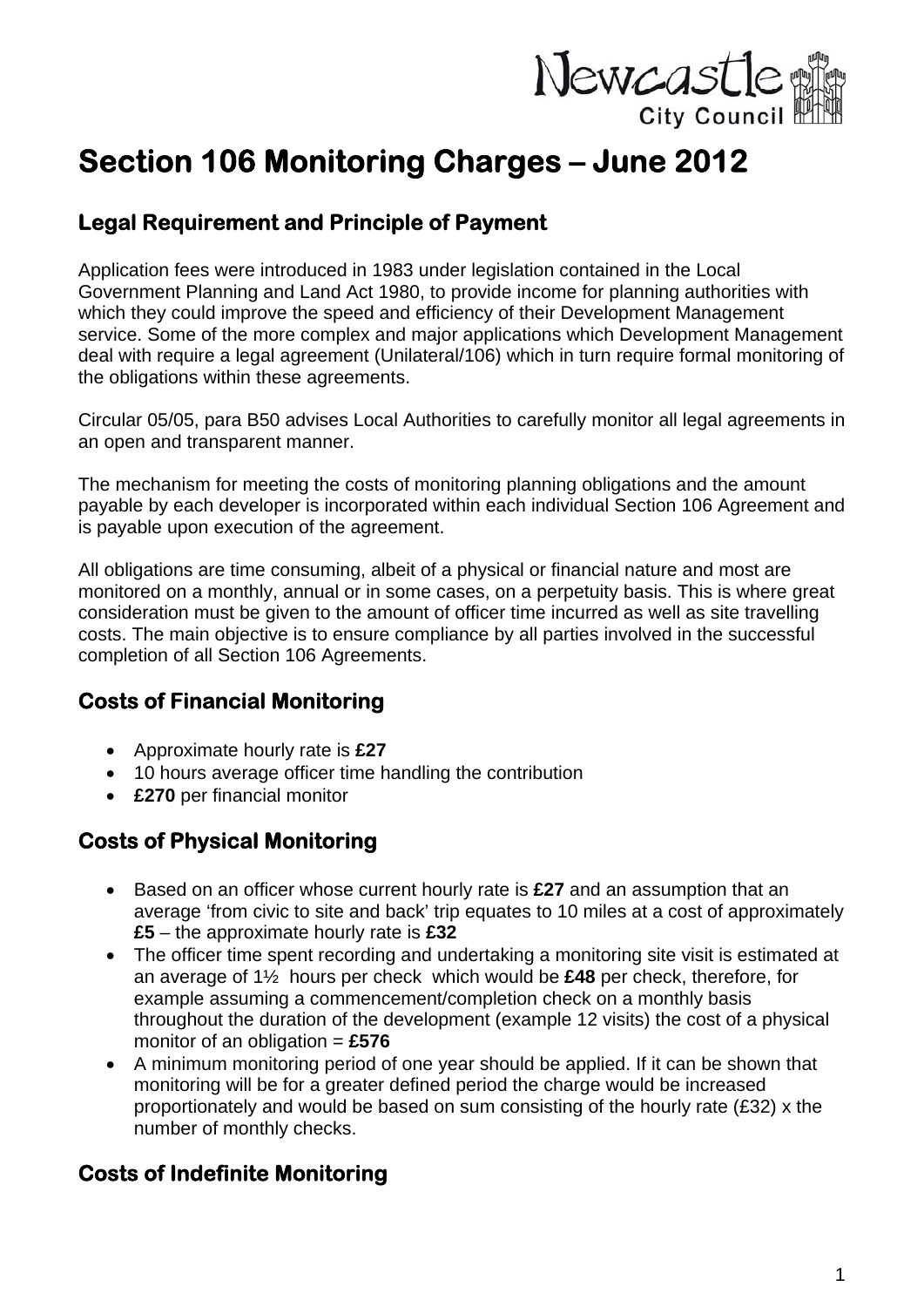

# **Section 106 Monitoring Charges – June 2012**

## **Legal Requirement and Principle of Payment**

Application fees were introduced in 1983 under legislation contained in the Local Government Planning and Land Act 1980, to provide income for planning authorities with which they could improve the speed and efficiency of their Development Management service. Some of the more complex and major applications which Development Management deal with require a legal agreement (Unilateral/106) which in turn require formal monitoring of the obligations within these agreements.

Circular 05/05, para B50 advises Local Authorities to carefully monitor all legal agreements in an open and transparent manner.

The mechanism for meeting the costs of monitoring planning obligations and the amount payable by each developer is incorporated within each individual Section 106 Agreement and is payable upon execution of the agreement.

All obligations are time consuming, albeit of a physical or financial nature and most are monitored on a monthly, annual or in some cases, on a perpetuity basis. This is where great consideration must be given to the amount of officer time incurred as well as site travelling costs. The main objective is to ensure compliance by all parties involved in the successful completion of all Section 106 Agreements.

## **Costs of Financial Monitoring**

- Approximate hourly rate is **£27**
- 10 hours average officer time handling the contribution
- **£270** per financial monitor

## **Costs of Physical Monitoring**

- Based on an officer whose current hourly rate is **£27** and an assumption that an average 'from civic to site and back' trip equates to 10 miles at a cost of approximately **£5** – the approximate hourly rate is **£32**
- The officer time spent recording and undertaking a monitoring site visit is estimated at an average of 1½ hours per check which would be **£48** per check, therefore, for example assuming a commencement/completion check on a monthly basis throughout the duration of the development (example 12 visits) the cost of a physical monitor of an obligation = **£576**
- A minimum monitoring period of one year should be applied. If it can be shown that monitoring will be for a greater defined period the charge would be increased proportionately and would be based on sum consisting of the hourly rate (£32) x the number of monthly checks.

#### **Costs of Indefinite Monitoring**